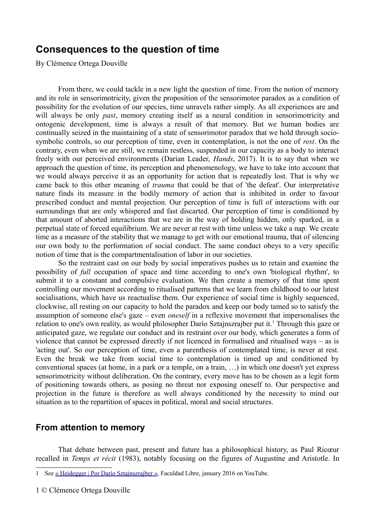## **Consequences to the question of time**

By Clémence Ortega Douville

From there, we could tackle in a new light the question of time. From the notion of memory and its role in sensorimotricity, given the proposition of the sensorimotor paradox as a condition of possibility for the evolution of our species, time unravels rather simply. As all experiences are and will always be only *past*, memory creating itself as a neural condition in sensorimotricity and ontogenic development, time is always a result of that memory. But we human bodies are continually seized in the maintaining of a state of sensorimotor paradox that we hold through sociosymbolic controls, so our perception of time, even in contemplation, is not the one of *rest*. On the contrary, even when we are still, we remain restless, suspended in our capacity as a body to interact freely with our perceived environments (Darian Leader, *Hands*, 2017). It is to say that when we approach the question of time, its perception and phenomenology, we have to take into account that we would always perceive it as an opportunity for action that is repeatedly lost. That is why we came back to this other meaning of *trauma* that could be that of 'the defeat'. Our interpretative nature finds its measure in the bodily memory of action that is inhibited in order to favour prescribed conduct and mental projection. Our perception of time is full of interactions with our surroundings that are only whispered and fast discarted. Our perception of time is conditioned by that amount of aborted interactions that we are in the way of holding hidden, only sparked, in a perpetual state of forced equilibrium. We are never at rest with time unless we take a nap. We create time as a measure of the stability that we manage to get with our emotional trauma, that of silencing our own body to the performation of social conduct. The same conduct obeys to a very specific notion of time that is the compartmentalisation of labor in our societies.

So the restraint cast on our body by social imperatives pushes us to retain and examine the possibility of *full* occupation of space and time according to one's own 'biological rhythm', to submit it to a constant and compulsive evaluation. We then create a memory of that time spent controlling our movement according to ritualised patterns that we learn from childhood to our latest socialisations, which have us reactualise them. Our experience of social time is highly sequenced, clockwise, all resting on our capacity to hold the paradox and keep our body tamed so to satisfy the assumption of someone else's gaze – even *oneself* in a reflexive movement that impersonalises the relation to one's own reality, as would philosopher Darío Sztajnszrajber put it.<sup>[1](#page-0-0)</sup> Through this gaze or anticipated gaze, we regulate our conduct and its restraint over our body, which generates a form of violence that cannot be expressed directly if not licenced in formalised and ritualised ways – as is 'acting out'. So our perception of time, even a parenthesis of contemplated time, is never at rest. Even the break we take from social time to contemplation is timed up and conditioned by conventional spaces (at home, in a park or a temple, on a train, …) in which one doesn't yet express sensorimotricity without deliberation. On the contrary, every move has to be chosen as a legit form of positioning towards others, as posing no threat nor exposing oneself to. Our perspective and projection in the future is therefore as well always conditioned by the necessity to mind our situation as to the repartition of spaces in political, moral and social structures.

## **From attention to memory**

That debate between past, present and future has a philosophical history, as Paul Ricœur recalled in *Temps et récit* (1983), notably focusing on the figures of Augustine and Aristotle. In

<span id="page-0-0"></span><sup>1</sup> See [« Heidegger | Por Darío Sztajnszrajber](https://www.youtube.com/watch?v=RHJH35jPJ3w) », Faculdad Libre, january 2016 on YouTube.

<sup>1</sup> © Clémence Ortega Douville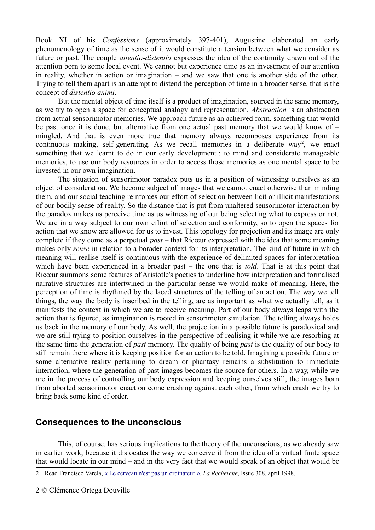Book XI of his *Confessions* (approximately 397-401), Augustine elaborated an early phenomenology of time as the sense of it would constitute a tension between what we consider as future or past. The couple *attentio-distentio* expresses the idea of the continuity drawn out of the attention born to some local event. We cannot but experience time as an investment of our attention in reality, whether in action or imagination – and we saw that one is another side of the other. Trying to tell them apart is an attempt to distend the perception of time in a broader sense, that is the concept of *distentio animi*.

But the mental object of time itself is a product of imagination, sourced in the same memory, as we try to open a space for conceptual analogy and representation. *Abstraction* is an abstraction from actual sensorimotor memories. We approach future as an acheived form, something that would be past once it is done, but alternative from one actual past memory that we would know of – mingled. And that is even more true that memory always recomposes experience from its continuous making, self-generating. As we recall memories in a deliberate way<sup>[2](#page-1-0)</sup>, we enact something that we learnt to do in our early development : to mind and considerate manageable memories, to use our body resources in order to access those memories as one mental space to be invested in our own imagination.

The situation of sensorimotor paradox puts us in a position of witnessing ourselves as an object of consideration. We become subject of images that we cannot enact otherwise than minding them, and our social teaching reinforces our effort of selection between licit or illicit manifestations of our bodily sense of reality. So the distance that is put from unaltered sensorimotor interaction by the paradox makes us perceive time as us witnessing of our being selecting what to express or not. We are in a way subject to our own effort of selection and conformity, so to open the spaces for action that we know are allowed for us to invest. This topology for projection and its image are only complete if they come as a perpetual *past* – that Ricœur expressed with the idea that some meaning makes only *sense* in relation to a borader context for its interpretation. The kind of future in which meaning will realise itself is continuous with the experience of delimited spaces for interpretation which have been experienced in a broader past – the one that is *told*. That is at this point that Ricœur summons some features of Aristotle's poetics to underline how interpretation and formalised narrative structures are intertwined in the particular sense we would make of meaning. Here, the perception of time is rhythmed by the laced structures of the telling of an action. The way we tell things, the way the body is inscribed in the telling, are as important as what we actually tell, as it manifests the context in which we are to receive meaning. Part of our body always leaps with the action that is figured, as imagination is rooted in sensorimotor simulation. The telling always holds us back in the memory of our body. As well, the projection in a possible future is paradoxical and we are still trying to position ourselves in the perspective of realising it while we are resorbing at the same time the generation of *past* memory. The quality of being *past* is the quality of our body to still remain there where it is keeping position for an action to be told. Imagining a possible future or some alternative reality pertaining to dream or phantasy remains a substitution to immediate interaction, where the generation of past images becomes the source for others. In a way, while we are in the process of controlling our body expression and keeping ourselves still, the images born from aborted sensorimotor enaction come crashing against each other, from which crash we try to bring back some kind of order.

## **Consequences to the unconscious**

This, of course, has serious implications to the theory of the unconscious, as we already saw in earlier work, because it dislocates the way we conceive it from the idea of a virtual finite space that would locate in our mind – and in the very fact that we would speak of an object that would be

<span id="page-1-0"></span><sup>2</sup> Read Francisco Varela, [« Le cerveau n'est pas un ordinateur](https://www.larecherche.fr/francisco-varela-le-cerveau-nest-pas-un-ordinateur) », *La Recherche*, Issue 308, april 1998.